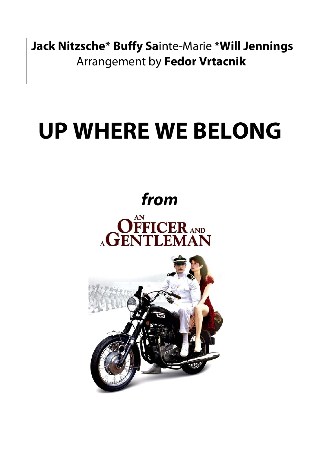**Jack Nitzsche**\* **Buffy Sa**inte-Marie \***Will Jennings** Arrangement by **Fedor Vrtacnik**

## **UP WHERE WE BELONG**

## **from**

AGENTLEMAN